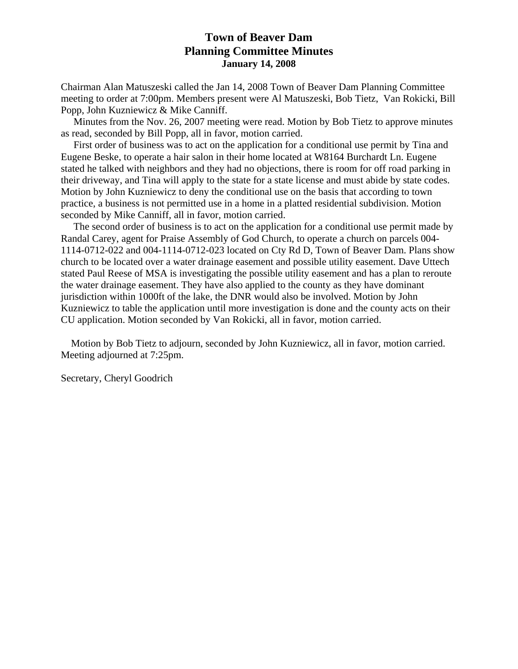# **Town of Beaver Dam Planning Committee Minutes January 14, 2008**

Chairman Alan Matuszeski called the Jan 14, 2008 Town of Beaver Dam Planning Committee meeting to order at 7:00pm. Members present were Al Matuszeski, Bob Tietz, Van Rokicki, Bill Popp, John Kuzniewicz & Mike Canniff.

 Minutes from the Nov. 26, 2007 meeting were read. Motion by Bob Tietz to approve minutes as read, seconded by Bill Popp, all in favor, motion carried.

 First order of business was to act on the application for a conditional use permit by Tina and Eugene Beske, to operate a hair salon in their home located at W8164 Burchardt Ln. Eugene stated he talked with neighbors and they had no objections, there is room for off road parking in their driveway, and Tina will apply to the state for a state license and must abide by state codes. Motion by John Kuzniewicz to deny the conditional use on the basis that according to town practice, a business is not permitted use in a home in a platted residential subdivision. Motion seconded by Mike Canniff, all in favor, motion carried.

 The second order of business is to act on the application for a conditional use permit made by Randal Carey, agent for Praise Assembly of God Church, to operate a church on parcels 004- 1114-0712-022 and 004-1114-0712-023 located on Cty Rd D, Town of Beaver Dam. Plans show church to be located over a water drainage easement and possible utility easement. Dave Uttech stated Paul Reese of MSA is investigating the possible utility easement and has a plan to reroute the water drainage easement. They have also applied to the county as they have dominant jurisdiction within 1000ft of the lake, the DNR would also be involved. Motion by John Kuzniewicz to table the application until more investigation is done and the county acts on their CU application. Motion seconded by Van Rokicki, all in favor, motion carried.

 Motion by Bob Tietz to adjourn, seconded by John Kuzniewicz, all in favor, motion carried. Meeting adjourned at 7:25pm.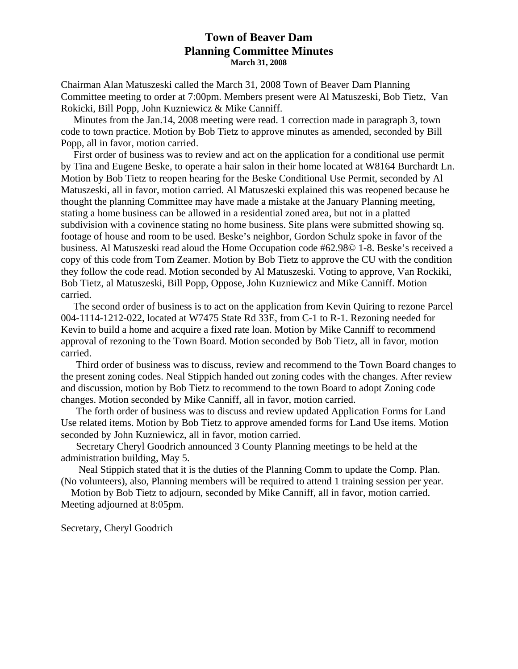## **Town of Beaver Dam Planning Committee Minutes March 31, 2008**

Chairman Alan Matuszeski called the March 31, 2008 Town of Beaver Dam Planning Committee meeting to order at 7:00pm. Members present were Al Matuszeski, Bob Tietz, Van Rokicki, Bill Popp, John Kuzniewicz & Mike Canniff.

 Minutes from the Jan.14, 2008 meeting were read. 1 correction made in paragraph 3, town code to town practice. Motion by Bob Tietz to approve minutes as amended, seconded by Bill Popp, all in favor, motion carried.

 First order of business was to review and act on the application for a conditional use permit by Tina and Eugene Beske, to operate a hair salon in their home located at W8164 Burchardt Ln. Motion by Bob Tietz to reopen hearing for the Beske Conditional Use Permit, seconded by Al Matuszeski, all in favor, motion carried. Al Matuszeski explained this was reopened because he thought the planning Committee may have made a mistake at the January Planning meeting, stating a home business can be allowed in a residential zoned area, but not in a platted subdivision with a covinence stating no home business. Site plans were submitted showing sq. footage of house and room to be used. Beske's neighbor, Gordon Schulz spoke in favor of the business. Al Matuszeski read aloud the Home Occupation code #62.98© 1-8. Beske's received a copy of this code from Tom Zeamer. Motion by Bob Tietz to approve the CU with the condition they follow the code read. Motion seconded by Al Matuszeski. Voting to approve, Van Rockiki, Bob Tietz, al Matuszeski, Bill Popp, Oppose, John Kuzniewicz and Mike Canniff. Motion carried.

 The second order of business is to act on the application from Kevin Quiring to rezone Parcel 004-1114-1212-022, located at W7475 State Rd 33E, from C-1 to R-1. Rezoning needed for Kevin to build a home and acquire a fixed rate loan. Motion by Mike Canniff to recommend approval of rezoning to the Town Board. Motion seconded by Bob Tietz, all in favor, motion carried.

 Third order of business was to discuss, review and recommend to the Town Board changes to the present zoning codes. Neal Stippich handed out zoning codes with the changes. After review and discussion, motion by Bob Tietz to recommend to the town Board to adopt Zoning code changes. Motion seconded by Mike Canniff, all in favor, motion carried.

 The forth order of business was to discuss and review updated Application Forms for Land Use related items. Motion by Bob Tietz to approve amended forms for Land Use items. Motion seconded by John Kuzniewicz, all in favor, motion carried.

 Secretary Cheryl Goodrich announced 3 County Planning meetings to be held at the administration building, May 5.

 Neal Stippich stated that it is the duties of the Planning Comm to update the Comp. Plan. (No volunteers), also, Planning members will be required to attend 1 training session per year.

 Motion by Bob Tietz to adjourn, seconded by Mike Canniff, all in favor, motion carried. Meeting adjourned at 8:05pm.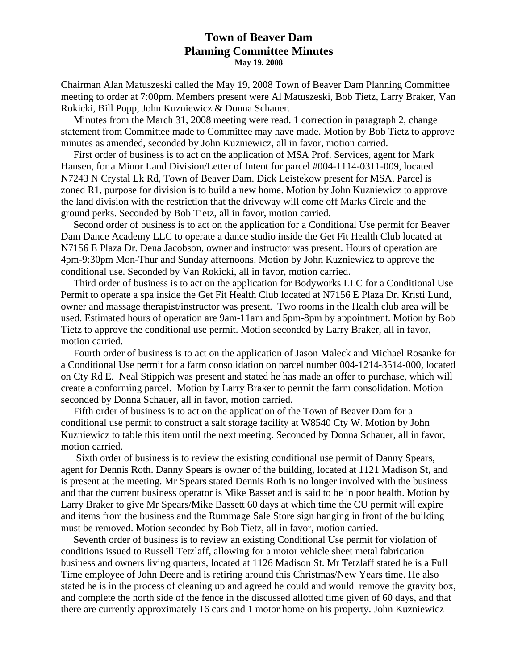### **Town of Beaver Dam Planning Committee Minutes May 19, 2008**

Chairman Alan Matuszeski called the May 19, 2008 Town of Beaver Dam Planning Committee meeting to order at 7:00pm. Members present were Al Matuszeski, Bob Tietz, Larry Braker, Van Rokicki, Bill Popp, John Kuzniewicz & Donna Schauer.

 Minutes from the March 31, 2008 meeting were read. 1 correction in paragraph 2, change statement from Committee made to Committee may have made. Motion by Bob Tietz to approve minutes as amended, seconded by John Kuzniewicz, all in favor, motion carried.

 First order of business is to act on the application of MSA Prof. Services, agent for Mark Hansen, for a Minor Land Division/Letter of Intent for parcel #004-1114-0311-009, located N7243 N Crystal Lk Rd, Town of Beaver Dam. Dick Leistekow present for MSA. Parcel is zoned R1, purpose for division is to build a new home. Motion by John Kuzniewicz to approve the land division with the restriction that the driveway will come off Marks Circle and the ground perks. Seconded by Bob Tietz, all in favor, motion carried.

 Second order of business is to act on the application for a Conditional Use permit for Beaver Dam Dance Academy LLC to operate a dance studio inside the Get Fit Health Club located at N7156 E Plaza Dr. Dena Jacobson, owner and instructor was present. Hours of operation are 4pm-9:30pm Mon-Thur and Sunday afternoons. Motion by John Kuzniewicz to approve the conditional use. Seconded by Van Rokicki, all in favor, motion carried.

 Third order of business is to act on the application for Bodyworks LLC for a Conditional Use Permit to operate a spa inside the Get Fit Health Club located at N7156 E Plaza Dr. Kristi Lund, owner and massage therapist/instructor was present. Two rooms in the Health club area will be used. Estimated hours of operation are 9am-11am and 5pm-8pm by appointment. Motion by Bob Tietz to approve the conditional use permit. Motion seconded by Larry Braker, all in favor, motion carried.

 Fourth order of business is to act on the application of Jason Maleck and Michael Rosanke for a Conditional Use permit for a farm consolidation on parcel number 004-1214-3514-000, located on Cty Rd E. Neal Stippich was present and stated he has made an offer to purchase, which will create a conforming parcel. Motion by Larry Braker to permit the farm consolidation. Motion seconded by Donna Schauer, all in favor, motion carried.

 Fifth order of business is to act on the application of the Town of Beaver Dam for a conditional use permit to construct a salt storage facility at W8540 Cty W. Motion by John Kuzniewicz to table this item until the next meeting. Seconded by Donna Schauer, all in favor, motion carried.

 Sixth order of business is to review the existing conditional use permit of Danny Spears, agent for Dennis Roth. Danny Spears is owner of the building, located at 1121 Madison St, and is present at the meeting. Mr Spears stated Dennis Roth is no longer involved with the business and that the current business operator is Mike Basset and is said to be in poor health. Motion by Larry Braker to give Mr Spears/Mike Bassett 60 days at which time the CU permit will expire and items from the business and the Rummage Sale Store sign hanging in front of the building must be removed. Motion seconded by Bob Tietz, all in favor, motion carried.

 Seventh order of business is to review an existing Conditional Use permit for violation of conditions issued to Russell Tetzlaff, allowing for a motor vehicle sheet metal fabrication business and owners living quarters, located at 1126 Madison St. Mr Tetzlaff stated he is a Full Time employee of John Deere and is retiring around this Christmas/New Years time. He also stated he is in the process of cleaning up and agreed he could and would remove the gravity box, and complete the north side of the fence in the discussed allotted time given of 60 days, and that there are currently approximately 16 cars and 1 motor home on his property. John Kuzniewicz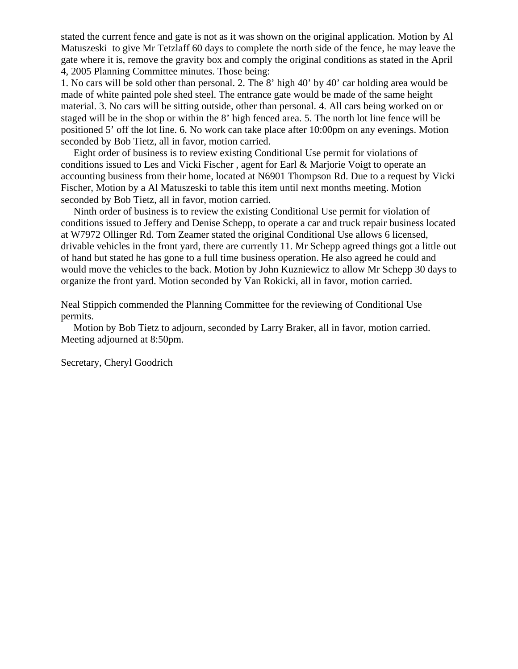stated the current fence and gate is not as it was shown on the original application. Motion by Al Matuszeski to give Mr Tetzlaff 60 days to complete the north side of the fence, he may leave the gate where it is, remove the gravity box and comply the original conditions as stated in the April 4, 2005 Planning Committee minutes. Those being:

1. No cars will be sold other than personal. 2. The 8' high 40' by 40' car holding area would be made of white painted pole shed steel. The entrance gate would be made of the same height material. 3. No cars will be sitting outside, other than personal. 4. All cars being worked on or staged will be in the shop or within the 8' high fenced area. 5. The north lot line fence will be positioned 5' off the lot line. 6. No work can take place after 10:00pm on any evenings. Motion seconded by Bob Tietz, all in favor, motion carried.

 Eight order of business is to review existing Conditional Use permit for violations of conditions issued to Les and Vicki Fischer , agent for Earl & Marjorie Voigt to operate an accounting business from their home, located at N6901 Thompson Rd. Due to a request by Vicki Fischer, Motion by a Al Matuszeski to table this item until next months meeting. Motion seconded by Bob Tietz, all in favor, motion carried.

 Ninth order of business is to review the existing Conditional Use permit for violation of conditions issued to Jeffery and Denise Schepp, to operate a car and truck repair business located at W7972 Ollinger Rd. Tom Zeamer stated the original Conditional Use allows 6 licensed, drivable vehicles in the front yard, there are currently 11. Mr Schepp agreed things got a little out of hand but stated he has gone to a full time business operation. He also agreed he could and would move the vehicles to the back. Motion by John Kuzniewicz to allow Mr Schepp 30 days to organize the front yard. Motion seconded by Van Rokicki, all in favor, motion carried.

Neal Stippich commended the Planning Committee for the reviewing of Conditional Use permits.

 Motion by Bob Tietz to adjourn, seconded by Larry Braker, all in favor, motion carried. Meeting adjourned at 8:50pm.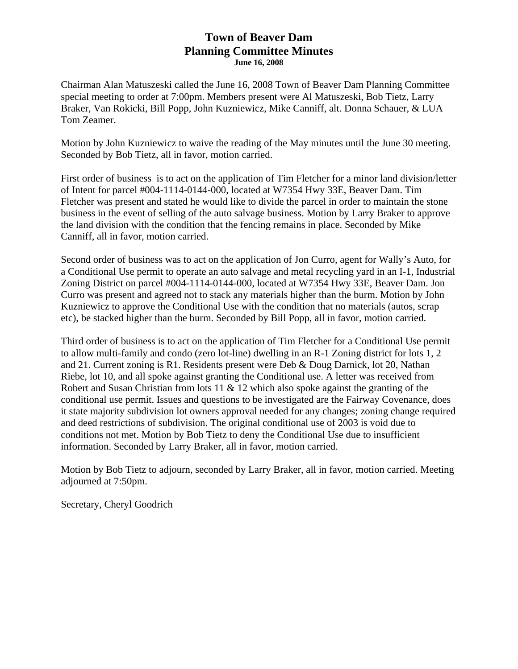## **Town of Beaver Dam Planning Committee Minutes June 16, 2008**

Chairman Alan Matuszeski called the June 16, 2008 Town of Beaver Dam Planning Committee special meeting to order at 7:00pm. Members present were Al Matuszeski, Bob Tietz, Larry Braker, Van Rokicki, Bill Popp, John Kuzniewicz, Mike Canniff, alt. Donna Schauer, & LUA Tom Zeamer.

Motion by John Kuzniewicz to waive the reading of the May minutes until the June 30 meeting. Seconded by Bob Tietz, all in favor, motion carried.

First order of business is to act on the application of Tim Fletcher for a minor land division/letter of Intent for parcel #004-1114-0144-000, located at W7354 Hwy 33E, Beaver Dam. Tim Fletcher was present and stated he would like to divide the parcel in order to maintain the stone business in the event of selling of the auto salvage business. Motion by Larry Braker to approve the land division with the condition that the fencing remains in place. Seconded by Mike Canniff, all in favor, motion carried.

Second order of business was to act on the application of Jon Curro, agent for Wally's Auto, for a Conditional Use permit to operate an auto salvage and metal recycling yard in an I-1, Industrial Zoning District on parcel #004-1114-0144-000, located at W7354 Hwy 33E, Beaver Dam. Jon Curro was present and agreed not to stack any materials higher than the burm. Motion by John Kuzniewicz to approve the Conditional Use with the condition that no materials (autos, scrap etc), be stacked higher than the burm. Seconded by Bill Popp, all in favor, motion carried.

Third order of business is to act on the application of Tim Fletcher for a Conditional Use permit to allow multi-family and condo (zero lot-line) dwelling in an R-1 Zoning district for lots 1, 2 and 21. Current zoning is R1. Residents present were Deb & Doug Darnick, lot 20, Nathan Riebe, lot 10, and all spoke against granting the Conditional use. A letter was received from Robert and Susan Christian from lots  $11 \& 12$  which also spoke against the granting of the conditional use permit. Issues and questions to be investigated are the Fairway Covenance, does it state majority subdivision lot owners approval needed for any changes; zoning change required and deed restrictions of subdivision. The original conditional use of 2003 is void due to conditions not met. Motion by Bob Tietz to deny the Conditional Use due to insufficient information. Seconded by Larry Braker, all in favor, motion carried.

Motion by Bob Tietz to adjourn, seconded by Larry Braker, all in favor, motion carried. Meeting adjourned at 7:50pm.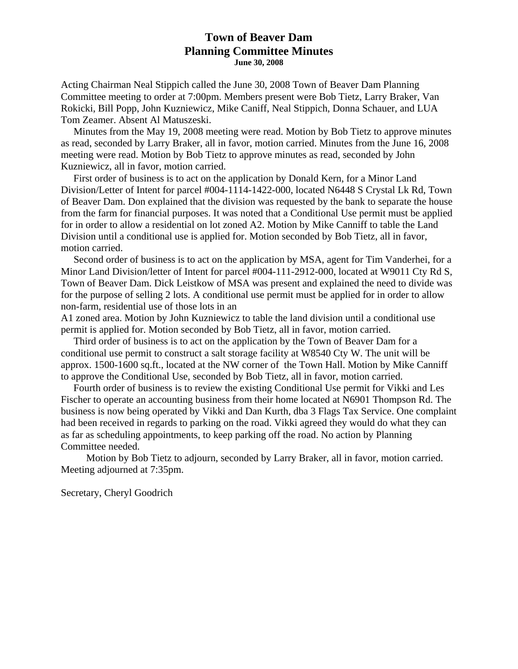## **Town of Beaver Dam Planning Committee Minutes June 30, 2008**

Acting Chairman Neal Stippich called the June 30, 2008 Town of Beaver Dam Planning Committee meeting to order at 7:00pm. Members present were Bob Tietz, Larry Braker, Van Rokicki, Bill Popp, John Kuzniewicz, Mike Caniff, Neal Stippich, Donna Schauer, and LUA Tom Zeamer. Absent Al Matuszeski.

 Minutes from the May 19, 2008 meeting were read. Motion by Bob Tietz to approve minutes as read, seconded by Larry Braker, all in favor, motion carried. Minutes from the June 16, 2008 meeting were read. Motion by Bob Tietz to approve minutes as read, seconded by John Kuzniewicz, all in favor, motion carried.

 First order of business is to act on the application by Donald Kern, for a Minor Land Division/Letter of Intent for parcel #004-1114-1422-000, located N6448 S Crystal Lk Rd, Town of Beaver Dam. Don explained that the division was requested by the bank to separate the house from the farm for financial purposes. It was noted that a Conditional Use permit must be applied for in order to allow a residential on lot zoned A2. Motion by Mike Canniff to table the Land Division until a conditional use is applied for. Motion seconded by Bob Tietz, all in favor, motion carried.

 Second order of business is to act on the application by MSA, agent for Tim Vanderhei, for a Minor Land Division/letter of Intent for parcel #004-111-2912-000, located at W9011 Cty Rd S, Town of Beaver Dam. Dick Leistkow of MSA was present and explained the need to divide was for the purpose of selling 2 lots. A conditional use permit must be applied for in order to allow non-farm, residential use of those lots in an

A1 zoned area. Motion by John Kuzniewicz to table the land division until a conditional use permit is applied for. Motion seconded by Bob Tietz, all in favor, motion carried.

 Third order of business is to act on the application by the Town of Beaver Dam for a conditional use permit to construct a salt storage facility at W8540 Cty W. The unit will be approx. 1500-1600 sq.ft., located at the NW corner of the Town Hall. Motion by Mike Canniff to approve the Conditional Use, seconded by Bob Tietz, all in favor, motion carried.

 Fourth order of business is to review the existing Conditional Use permit for Vikki and Les Fischer to operate an accounting business from their home located at N6901 Thompson Rd. The business is now being operated by Vikki and Dan Kurth, dba 3 Flags Tax Service. One complaint had been received in regards to parking on the road. Vikki agreed they would do what they can as far as scheduling appointments, to keep parking off the road. No action by Planning Committee needed.

 Motion by Bob Tietz to adjourn, seconded by Larry Braker, all in favor, motion carried. Meeting adjourned at 7:35pm.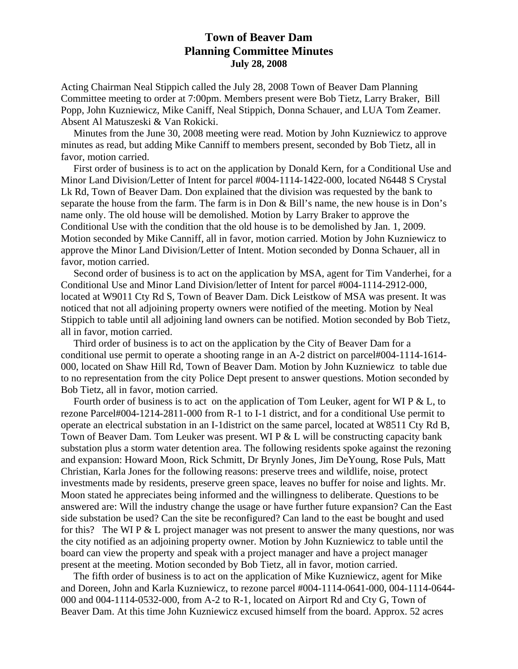# **Town of Beaver Dam Planning Committee Minutes July 28, 2008**

Acting Chairman Neal Stippich called the July 28, 2008 Town of Beaver Dam Planning Committee meeting to order at 7:00pm. Members present were Bob Tietz, Larry Braker, Bill Popp, John Kuzniewicz, Mike Caniff, Neal Stippich, Donna Schauer, and LUA Tom Zeamer. Absent Al Matuszeski & Van Rokicki.

 Minutes from the June 30, 2008 meeting were read. Motion by John Kuzniewicz to approve minutes as read, but adding Mike Canniff to members present, seconded by Bob Tietz, all in favor, motion carried.

 First order of business is to act on the application by Donald Kern, for a Conditional Use and Minor Land Division/Letter of Intent for parcel #004-1114-1422-000, located N6448 S Crystal Lk Rd, Town of Beaver Dam. Don explained that the division was requested by the bank to separate the house from the farm. The farm is in Don & Bill's name, the new house is in Don's name only. The old house will be demolished. Motion by Larry Braker to approve the Conditional Use with the condition that the old house is to be demolished by Jan. 1, 2009. Motion seconded by Mike Canniff, all in favor, motion carried. Motion by John Kuzniewicz to approve the Minor Land Division/Letter of Intent. Motion seconded by Donna Schauer, all in favor, motion carried.

 Second order of business is to act on the application by MSA, agent for Tim Vanderhei, for a Conditional Use and Minor Land Division/letter of Intent for parcel #004-1114-2912-000, located at W9011 Cty Rd S, Town of Beaver Dam. Dick Leistkow of MSA was present. It was noticed that not all adjoining property owners were notified of the meeting. Motion by Neal Stippich to table until all adjoining land owners can be notified. Motion seconded by Bob Tietz, all in favor, motion carried.

 Third order of business is to act on the application by the City of Beaver Dam for a conditional use permit to operate a shooting range in an A-2 district on parcel#004-1114-1614- 000, located on Shaw Hill Rd, Town of Beaver Dam. Motion by John Kuzniewicz to table due to no representation from the city Police Dept present to answer questions. Motion seconded by Bob Tietz, all in favor, motion carried.

Fourth order of business is to act on the application of Tom Leuker, agent for WI P  $& L$ , to rezone Parcel#004-1214-2811-000 from R-1 to I-1 district, and for a conditional Use permit to operate an electrical substation in an I-1district on the same parcel, located at W8511 Cty Rd B, Town of Beaver Dam. Tom Leuker was present. WI P & L will be constructing capacity bank substation plus a storm water detention area. The following residents spoke against the rezoning and expansion: Howard Moon, Rick Schmitt, Dr Brynly Jones, Jim DeYoung, Rose Puls, Matt Christian, Karla Jones for the following reasons: preserve trees and wildlife, noise, protect investments made by residents, preserve green space, leaves no buffer for noise and lights. Mr. Moon stated he appreciates being informed and the willingness to deliberate. Questions to be answered are: Will the industry change the usage or have further future expansion? Can the East side substation be used? Can the site be reconfigured? Can land to the east be bought and used for this? The WI P  $&$  L project manager was not present to answer the many questions, nor was the city notified as an adjoining property owner. Motion by John Kuzniewicz to table until the board can view the property and speak with a project manager and have a project manager present at the meeting. Motion seconded by Bob Tietz, all in favor, motion carried.

 The fifth order of business is to act on the application of Mike Kuzniewicz, agent for Mike and Doreen, John and Karla Kuzniewicz, to rezone parcel #004-1114-0641-000, 004-1114-0644- 000 and 004-1114-0532-000, from A-2 to R-1, located on Airport Rd and Cty G, Town of Beaver Dam. At this time John Kuzniewicz excused himself from the board. Approx. 52 acres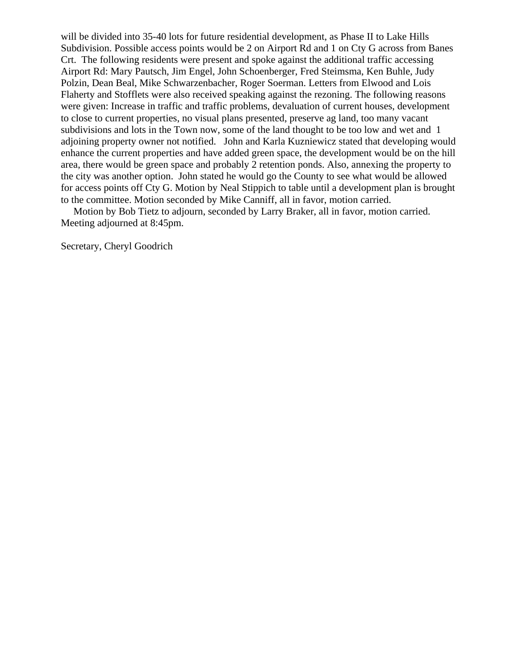will be divided into 35-40 lots for future residential development, as Phase II to Lake Hills Subdivision. Possible access points would be 2 on Airport Rd and 1 on Cty G across from Banes Crt. The following residents were present and spoke against the additional traffic accessing Airport Rd: Mary Pautsch, Jim Engel, John Schoenberger, Fred Steimsma, Ken Buhle, Judy Polzin, Dean Beal, Mike Schwarzenbacher, Roger Soerman. Letters from Elwood and Lois Flaherty and Stofflets were also received speaking against the rezoning. The following reasons were given: Increase in traffic and traffic problems, devaluation of current houses, development to close to current properties, no visual plans presented, preserve ag land, too many vacant subdivisions and lots in the Town now, some of the land thought to be too low and wet and 1 adjoining property owner not notified. John and Karla Kuzniewicz stated that developing would enhance the current properties and have added green space, the development would be on the hill area, there would be green space and probably 2 retention ponds. Also, annexing the property to the city was another option. John stated he would go the County to see what would be allowed for access points off Cty G. Motion by Neal Stippich to table until a development plan is brought to the committee. Motion seconded by Mike Canniff, all in favor, motion carried.

 Motion by Bob Tietz to adjourn, seconded by Larry Braker, all in favor, motion carried. Meeting adjourned at 8:45pm.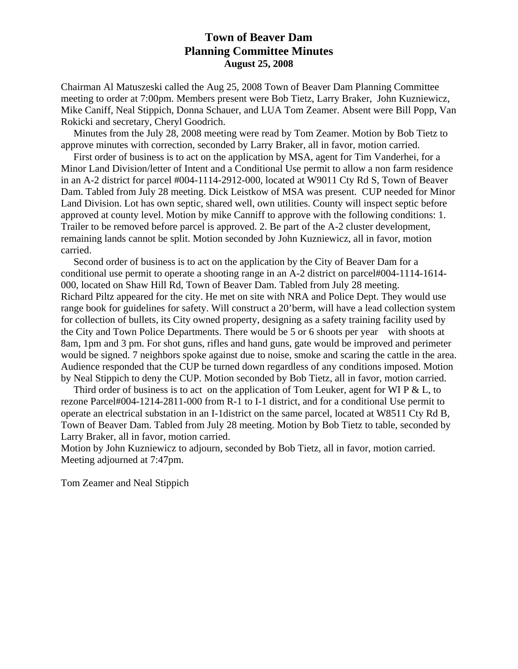# **Town of Beaver Dam Planning Committee Minutes August 25, 2008**

Chairman Al Matuszeski called the Aug 25, 2008 Town of Beaver Dam Planning Committee meeting to order at 7:00pm. Members present were Bob Tietz, Larry Braker, John Kuzniewicz, Mike Caniff, Neal Stippich, Donna Schauer, and LUA Tom Zeamer. Absent were Bill Popp, Van Rokicki and secretary, Cheryl Goodrich.

 Minutes from the July 28, 2008 meeting were read by Tom Zeamer. Motion by Bob Tietz to approve minutes with correction, seconded by Larry Braker, all in favor, motion carried.

 First order of business is to act on the application by MSA, agent for Tim Vanderhei, for a Minor Land Division/letter of Intent and a Conditional Use permit to allow a non farm residence in an A-2 district for parcel #004-1114-2912-000, located at W9011 Cty Rd S, Town of Beaver Dam. Tabled from July 28 meeting. Dick Leistkow of MSA was present. CUP needed for Minor Land Division. Lot has own septic, shared well, own utilities. County will inspect septic before approved at county level. Motion by mike Canniff to approve with the following conditions: 1. Trailer to be removed before parcel is approved. 2. Be part of the A-2 cluster development, remaining lands cannot be split. Motion seconded by John Kuzniewicz, all in favor, motion carried.

 Second order of business is to act on the application by the City of Beaver Dam for a conditional use permit to operate a shooting range in an A-2 district on parcel#004-1114-1614- 000, located on Shaw Hill Rd, Town of Beaver Dam. Tabled from July 28 meeting. Richard Piltz appeared for the city. He met on site with NRA and Police Dept. They would use range book for guidelines for safety. Will construct a 20'berm, will have a lead collection system for collection of bullets, its City owned property, designing as a safety training facility used by the City and Town Police Departments. There would be 5 or 6 shoots per year with shoots at 8am, 1pm and 3 pm. For shot guns, rifles and hand guns, gate would be improved and perimeter would be signed. 7 neighbors spoke against due to noise, smoke and scaring the cattle in the area. Audience responded that the CUP be turned down regardless of any conditions imposed. Motion by Neal Stippich to deny the CUP. Motion seconded by Bob Tietz, all in favor, motion carried.

Third order of business is to act on the application of Tom Leuker, agent for WI P  $& L$ , to rezone Parcel#004-1214-2811-000 from R-1 to I-1 district, and for a conditional Use permit to operate an electrical substation in an I-1district on the same parcel, located at W8511 Cty Rd B, Town of Beaver Dam. Tabled from July 28 meeting. Motion by Bob Tietz to table, seconded by Larry Braker, all in favor, motion carried.

Motion by John Kuzniewicz to adjourn, seconded by Bob Tietz, all in favor, motion carried. Meeting adjourned at 7:47pm.

Tom Zeamer and Neal Stippich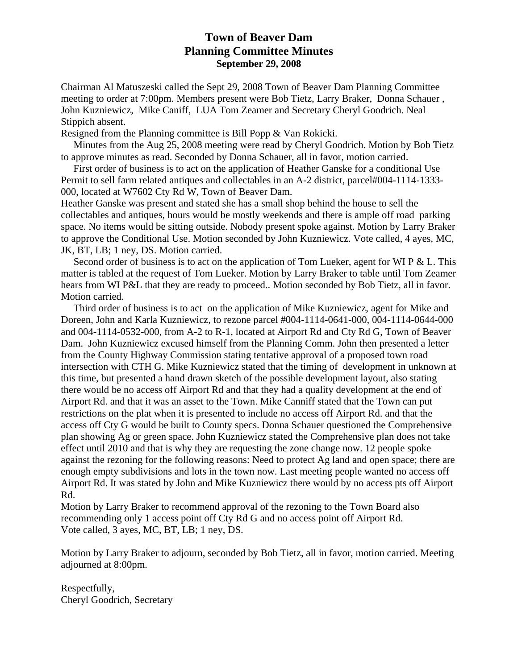# **Town of Beaver Dam Planning Committee Minutes September 29, 2008**

Chairman Al Matuszeski called the Sept 29, 2008 Town of Beaver Dam Planning Committee meeting to order at 7:00pm. Members present were Bob Tietz, Larry Braker, Donna Schauer , John Kuzniewicz, Mike Caniff, LUA Tom Zeamer and Secretary Cheryl Goodrich. Neal Stippich absent.

Resigned from the Planning committee is Bill Popp & Van Rokicki.

 Minutes from the Aug 25, 2008 meeting were read by Cheryl Goodrich. Motion by Bob Tietz to approve minutes as read. Seconded by Donna Schauer, all in favor, motion carried.

 First order of business is to act on the application of Heather Ganske for a conditional Use Permit to sell farm related antiques and collectables in an A-2 district, parcel#004-1114-1333- 000, located at W7602 Cty Rd W, Town of Beaver Dam.

Heather Ganske was present and stated she has a small shop behind the house to sell the collectables and antiques, hours would be mostly weekends and there is ample off road parking space. No items would be sitting outside. Nobody present spoke against. Motion by Larry Braker to approve the Conditional Use. Motion seconded by John Kuzniewicz. Vote called, 4 ayes, MC, JK, BT, LB; 1 ney, DS. Motion carried.

Second order of business is to act on the application of Tom Lueker, agent for WI P & L. This matter is tabled at the request of Tom Lueker. Motion by Larry Braker to table until Tom Zeamer hears from WI P&L that they are ready to proceed.. Motion seconded by Bob Tietz, all in favor. Motion carried.

 Third order of business is to act on the application of Mike Kuzniewicz, agent for Mike and Doreen, John and Karla Kuzniewicz, to rezone parcel #004-1114-0641-000, 004-1114-0644-000 and 004-1114-0532-000, from A-2 to R-1, located at Airport Rd and Cty Rd G, Town of Beaver Dam. John Kuzniewicz excused himself from the Planning Comm. John then presented a letter from the County Highway Commission stating tentative approval of a proposed town road intersection with CTH G. Mike Kuzniewicz stated that the timing of development in unknown at this time, but presented a hand drawn sketch of the possible development layout, also stating there would be no access off Airport Rd and that they had a quality development at the end of Airport Rd. and that it was an asset to the Town. Mike Canniff stated that the Town can put restrictions on the plat when it is presented to include no access off Airport Rd. and that the access off Cty G would be built to County specs. Donna Schauer questioned the Comprehensive plan showing Ag or green space. John Kuzniewicz stated the Comprehensive plan does not take effect until 2010 and that is why they are requesting the zone change now. 12 people spoke against the rezoning for the following reasons: Need to protect Ag land and open space; there are enough empty subdivisions and lots in the town now. Last meeting people wanted no access off Airport Rd. It was stated by John and Mike Kuzniewicz there would by no access pts off Airport Rd.

Motion by Larry Braker to recommend approval of the rezoning to the Town Board also recommending only 1 access point off Cty Rd G and no access point off Airport Rd. Vote called, 3 ayes, MC, BT, LB; 1 ney, DS.

Motion by Larry Braker to adjourn, seconded by Bob Tietz, all in favor, motion carried. Meeting adjourned at 8:00pm.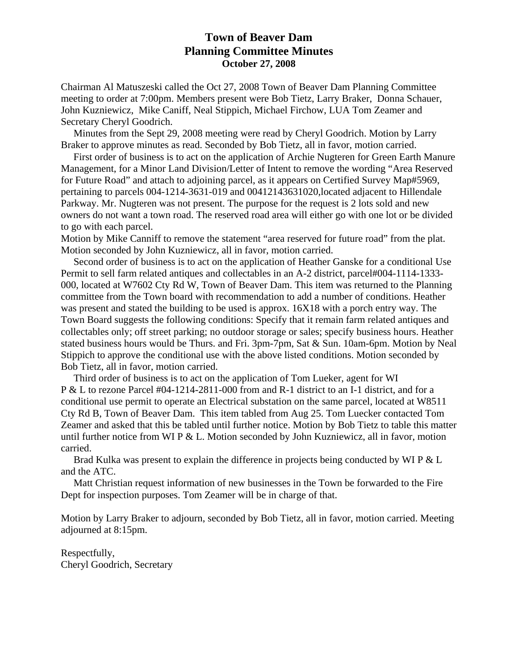# **Town of Beaver Dam Planning Committee Minutes October 27, 2008**

Chairman Al Matuszeski called the Oct 27, 2008 Town of Beaver Dam Planning Committee meeting to order at 7:00pm. Members present were Bob Tietz, Larry Braker, Donna Schauer, John Kuzniewicz, Mike Caniff, Neal Stippich, Michael Firchow, LUA Tom Zeamer and Secretary Cheryl Goodrich.

 Minutes from the Sept 29, 2008 meeting were read by Cheryl Goodrich. Motion by Larry Braker to approve minutes as read. Seconded by Bob Tietz, all in favor, motion carried.

 First order of business is to act on the application of Archie Nugteren for Green Earth Manure Management, for a Minor Land Division/Letter of Intent to remove the wording "Area Reserved for Future Road" and attach to adjoining parcel, as it appears on Certified Survey Map#5969, pertaining to parcels 004-1214-3631-019 and 00412143631020,located adjacent to Hillendale Parkway. Mr. Nugteren was not present. The purpose for the request is 2 lots sold and new owners do not want a town road. The reserved road area will either go with one lot or be divided to go with each parcel.

Motion by Mike Canniff to remove the statement "area reserved for future road" from the plat. Motion seconded by John Kuzniewicz, all in favor, motion carried.

 Second order of business is to act on the application of Heather Ganske for a conditional Use Permit to sell farm related antiques and collectables in an A-2 district, parcel#004-1114-1333- 000, located at W7602 Cty Rd W, Town of Beaver Dam. This item was returned to the Planning committee from the Town board with recommendation to add a number of conditions. Heather was present and stated the building to be used is approx. 16X18 with a porch entry way. The Town Board suggests the following conditions: Specify that it remain farm related antiques and collectables only; off street parking; no outdoor storage or sales; specify business hours. Heather stated business hours would be Thurs. and Fri. 3pm-7pm, Sat & Sun. 10am-6pm. Motion by Neal Stippich to approve the conditional use with the above listed conditions. Motion seconded by Bob Tietz, all in favor, motion carried.

 Third order of business is to act on the application of Tom Lueker, agent for WI P & L to rezone Parcel #04-1214-2811-000 from and R-1 district to an I-1 district, and for a conditional use permit to operate an Electrical substation on the same parcel, located at W8511 Cty Rd B, Town of Beaver Dam. This item tabled from Aug 25. Tom Luecker contacted Tom Zeamer and asked that this be tabled until further notice. Motion by Bob Tietz to table this matter until further notice from WI P  $&$  L. Motion seconded by John Kuzniewicz, all in favor, motion carried.

Brad Kulka was present to explain the difference in projects being conducted by WI P & L and the ATC.

 Matt Christian request information of new businesses in the Town be forwarded to the Fire Dept for inspection purposes. Tom Zeamer will be in charge of that.

Motion by Larry Braker to adjourn, seconded by Bob Tietz, all in favor, motion carried. Meeting adjourned at 8:15pm.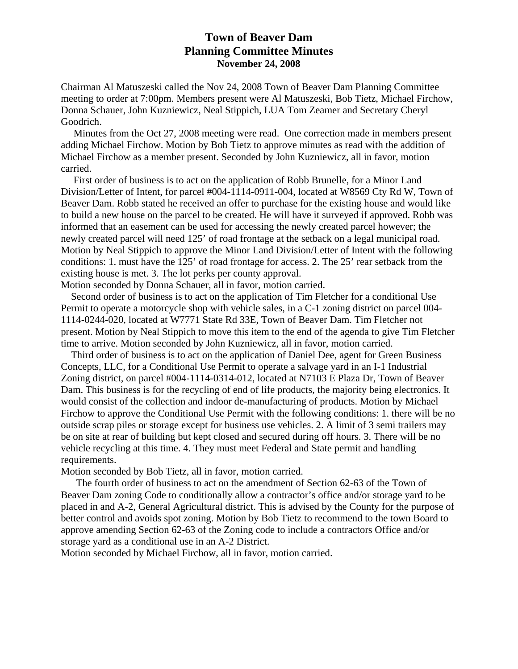## **Town of Beaver Dam Planning Committee Minutes November 24, 2008**

Chairman Al Matuszeski called the Nov 24, 2008 Town of Beaver Dam Planning Committee meeting to order at 7:00pm. Members present were Al Matuszeski, Bob Tietz, Michael Firchow, Donna Schauer, John Kuzniewicz, Neal Stippich, LUA Tom Zeamer and Secretary Cheryl Goodrich.

 Minutes from the Oct 27, 2008 meeting were read. One correction made in members present adding Michael Firchow. Motion by Bob Tietz to approve minutes as read with the addition of Michael Firchow as a member present. Seconded by John Kuzniewicz, all in favor, motion carried.

 First order of business is to act on the application of Robb Brunelle, for a Minor Land Division/Letter of Intent, for parcel #004-1114-0911-004, located at W8569 Cty Rd W, Town of Beaver Dam. Robb stated he received an offer to purchase for the existing house and would like to build a new house on the parcel to be created. He will have it surveyed if approved. Robb was informed that an easement can be used for accessing the newly created parcel however; the newly created parcel will need 125' of road frontage at the setback on a legal municipal road. Motion by Neal Stippich to approve the Minor Land Division/Letter of Intent with the following conditions: 1. must have the 125' of road frontage for access. 2. The 25' rear setback from the existing house is met. 3. The lot perks per county approval.

Motion seconded by Donna Schauer, all in favor, motion carried.

 Second order of business is to act on the application of Tim Fletcher for a conditional Use Permit to operate a motorcycle shop with vehicle sales, in a C-1 zoning district on parcel 004- 1114-0244-020, located at W7771 State Rd 33E, Town of Beaver Dam. Tim Fletcher not present. Motion by Neal Stippich to move this item to the end of the agenda to give Tim Fletcher time to arrive. Motion seconded by John Kuzniewicz, all in favor, motion carried.

 Third order of business is to act on the application of Daniel Dee, agent for Green Business Concepts, LLC, for a Conditional Use Permit to operate a salvage yard in an I-1 Industrial Zoning district, on parcel #004-1114-0314-012, located at N7103 E Plaza Dr, Town of Beaver Dam. This business is for the recycling of end of life products, the majority being electronics. It would consist of the collection and indoor de-manufacturing of products. Motion by Michael Firchow to approve the Conditional Use Permit with the following conditions: 1. there will be no outside scrap piles or storage except for business use vehicles. 2. A limit of 3 semi trailers may be on site at rear of building but kept closed and secured during off hours. 3. There will be no vehicle recycling at this time. 4. They must meet Federal and State permit and handling requirements.

Motion seconded by Bob Tietz, all in favor, motion carried.

 The fourth order of business to act on the amendment of Section 62-63 of the Town of Beaver Dam zoning Code to conditionally allow a contractor's office and/or storage yard to be placed in and A-2, General Agricultural district. This is advised by the County for the purpose of better control and avoids spot zoning. Motion by Bob Tietz to recommend to the town Board to approve amending Section 62-63 of the Zoning code to include a contractors Office and/or storage yard as a conditional use in an A-2 District.

Motion seconded by Michael Firchow, all in favor, motion carried.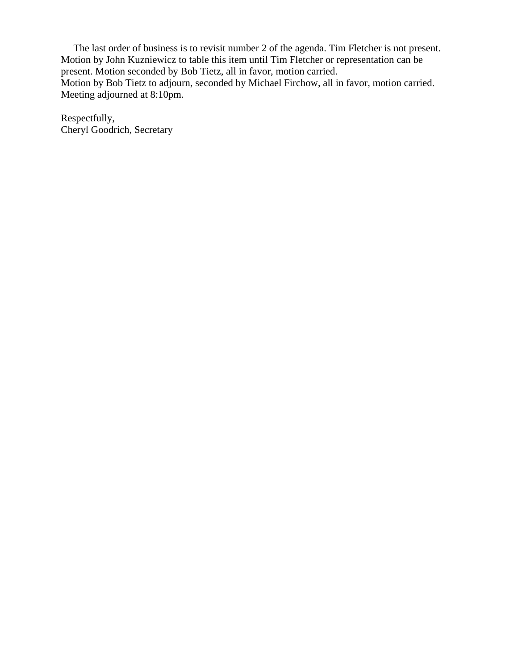The last order of business is to revisit number 2 of the agenda. Tim Fletcher is not present. Motion by John Kuzniewicz to table this item until Tim Fletcher or representation can be present. Motion seconded by Bob Tietz, all in favor, motion carried. Motion by Bob Tietz to adjourn, seconded by Michael Firchow, all in favor, motion carried. Meeting adjourned at 8:10pm.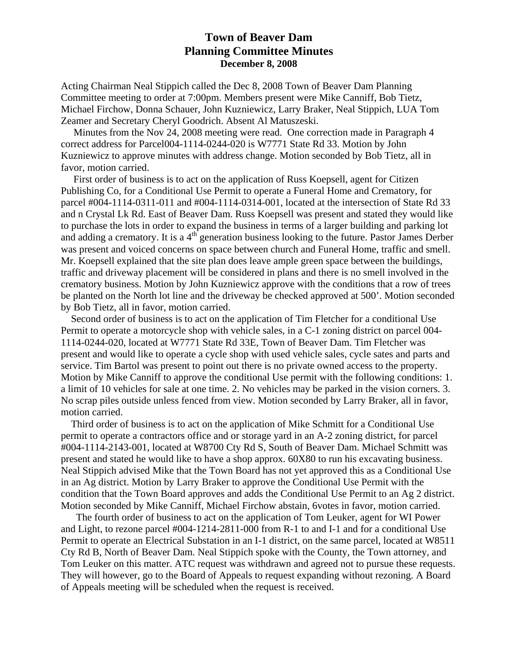## **Town of Beaver Dam Planning Committee Minutes December 8, 2008**

Acting Chairman Neal Stippich called the Dec 8, 2008 Town of Beaver Dam Planning Committee meeting to order at 7:00pm. Members present were Mike Canniff, Bob Tietz, Michael Firchow, Donna Schauer, John Kuzniewicz, Larry Braker, Neal Stippich, LUA Tom Zeamer and Secretary Cheryl Goodrich. Absent Al Matuszeski.

 Minutes from the Nov 24, 2008 meeting were read. One correction made in Paragraph 4 correct address for Parcel004-1114-0244-020 is W7771 State Rd 33. Motion by John Kuzniewicz to approve minutes with address change. Motion seconded by Bob Tietz, all in favor, motion carried.

 First order of business is to act on the application of Russ Koepsell, agent for Citizen Publishing Co, for a Conditional Use Permit to operate a Funeral Home and Crematory, for parcel #004-1114-0311-011 and #004-1114-0314-001, located at the intersection of State Rd 33 and n Crystal Lk Rd. East of Beaver Dam. Russ Koepsell was present and stated they would like to purchase the lots in order to expand the business in terms of a larger building and parking lot and adding a crematory. It is a 4<sup>th</sup> generation business looking to the future. Pastor James Derber was present and voiced concerns on space between church and Funeral Home, traffic and smell. Mr. Koepsell explained that the site plan does leave ample green space between the buildings, traffic and driveway placement will be considered in plans and there is no smell involved in the crematory business. Motion by John Kuzniewicz approve with the conditions that a row of trees be planted on the North lot line and the driveway be checked approved at 500'. Motion seconded by Bob Tietz, all in favor, motion carried.

 Second order of business is to act on the application of Tim Fletcher for a conditional Use Permit to operate a motorcycle shop with vehicle sales, in a C-1 zoning district on parcel 004- 1114-0244-020, located at W7771 State Rd 33E, Town of Beaver Dam. Tim Fletcher was present and would like to operate a cycle shop with used vehicle sales, cycle sates and parts and service. Tim Bartol was present to point out there is no private owned access to the property. Motion by Mike Canniff to approve the conditional Use permit with the following conditions: 1. a limit of 10 vehicles for sale at one time. 2. No vehicles may be parked in the vision corners. 3. No scrap piles outside unless fenced from view. Motion seconded by Larry Braker, all in favor, motion carried.

 Third order of business is to act on the application of Mike Schmitt for a Conditional Use permit to operate a contractors office and or storage yard in an A-2 zoning district, for parcel #004-1114-2143-001, located at W8700 Cty Rd S, South of Beaver Dam. Michael Schmitt was present and stated he would like to have a shop approx. 60X80 to run his excavating business. Neal Stippich advised Mike that the Town Board has not yet approved this as a Conditional Use in an Ag district. Motion by Larry Braker to approve the Conditional Use Permit with the condition that the Town Board approves and adds the Conditional Use Permit to an Ag 2 district. Motion seconded by Mike Canniff, Michael Firchow abstain, 6votes in favor, motion carried.

 The fourth order of business to act on the application of Tom Leuker, agent for WI Power and Light, to rezone parcel #004-1214-2811-000 from R-1 to and I-1 and for a conditional Use Permit to operate an Electrical Substation in an I-1 district, on the same parcel, located at W8511 Cty Rd B, North of Beaver Dam. Neal Stippich spoke with the County, the Town attorney, and Tom Leuker on this matter. ATC request was withdrawn and agreed not to pursue these requests. They will however, go to the Board of Appeals to request expanding without rezoning. A Board of Appeals meeting will be scheduled when the request is received.